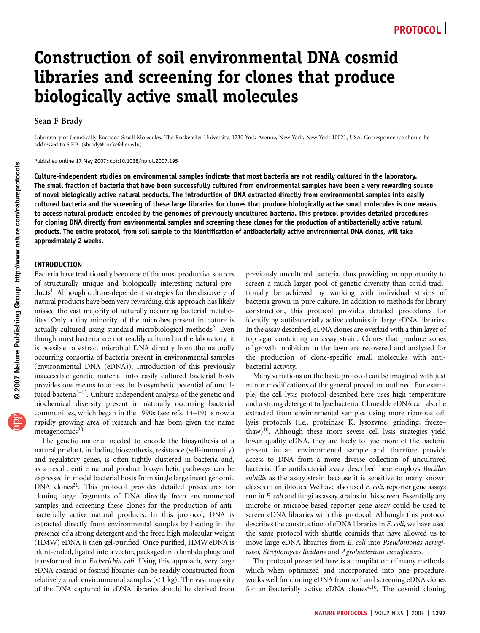# Construction of soil environmental DNA cosmid libraries and screening for clones that produce biologically active small molecules

#### Sean F Brady

Laboratory of Genetically Encoded Small Molecules, The Rockefeller University, 1230 York Avenue, New York, New York 10021, USA. Correspondence should be addressed to S.F.B. (sbrady@rockefeller.edu).

Published online 17 May 2007; doi:10.1038/nprot.2007.195

Culture-independent studies on environmental samples indicate that most bacteria are not readily cultured in the laboratory. The small fraction of bacteria that have been successfully cultured from environmental samples have been a very rewarding source of novel biologically active natural products. The introduction of DNA extracted directly from environmental samples into easily cultured bacteria and the screening of these large libraries for clones that produce biologically active small molecules is one means to access natural products encoded by the genomes of previously uncultured bacteria. This protocol provides detailed procedures for cloning DNA directly from environmental samples and screening these clones for the production of antibacterially active natural products. The entire protocol, from soil sample to the identification of antibacterially active environmental DNA clones, will take approximately 2 weeks.

#### INTRODUCTION

Bacteria have traditionally been one of the most productive sources of structurally unique and biologically interesting natural products<sup>1</sup>. Although culture-dependent strategies for the discovery of natural products have been very rewarding, this approach has likely missed the vast majority of naturally occurring bacterial metabolites. Only a tiny minority of the microbes present in nature is actually cultured using standard microbiological methods<sup>2</sup>. Even though most bacteria are not readily cultured in the laboratory, it is possible to extract microbial DNA directly from the naturally occurring consortia of bacteria present in environmental samples (environmental DNA (eDNA)). Introduction of this previously inaccessible genetic material into easily cultured bacterial hosts provides one means to access the biosynthetic potential of uncultured bacteria<sup>3–13</sup>. Culture-independent analysis of the genetic and biochemical diversity present in naturally occurring bacterial communities, which began in the 1990s (see refs. 14–19) is now a rapidly growing area of research and has been given the name metagenomics<sup>20</sup>.

The genetic material needed to encode the biosynthesis of a natural product, including biosynthesis, resistance (self-immunity) and regulatory genes, is often tightly clustered in bacteria and, as a result, entire natural product biosynthetic pathways can be expressed in model bacterial hosts from single large insert genomic DNA clones<sup>21</sup>. This protocol provides detailed procedures for cloning large fragments of DNA directly from environmental samples and screening these clones for the production of antibacterially active natural products. In this protocol, DNA is extracted directly from environmental samples by heating in the presence of a strong detergent and the freed high molecular weight (HMW) eDNA is then gel-purified. Once purified, HMW eDNA is blunt-ended, ligated into a vector, packaged into lambda phage and transformed into Escherichia coli. Using this approach, very large eDNA cosmid or fosmid libraries can be readily constructed from relatively small environmental samples  $(< 1$  kg). The vast majority of the DNA captured in eDNA libraries should be derived from

previously uncultured bacteria, thus providing an opportunity to screen a much larger pool of genetic diversity than could traditionally be achieved by working with individual strains of bacteria grown in pure culture. In addition to methods for library construction, this protocol provides detailed procedures for identifying antibacterially active colonies in large eDNA libraries. In the assay described, eDNA clones are overlaid with a thin layer of top agar containing an assay strain. Clones that produce zones of growth inhibition in the lawn are recovered and analyzed for the production of clone-specific small molecules with antibacterial activity.

Many variations on the basic protocol can be imagined with just minor modifications of the general procedure outlined. For example, the cell lysis protocol described here uses high temperature and a strong detergent to lyse bacteria. Cloneable eDNA can also be extracted from environmental samples using more rigorous cell lysis protocols (i.e., proteinase K, lysozyme, grinding, freeze– thaw)10. Although these more severe cell lysis strategies yield lower quality eDNA, they are likely to lyse more of the bacteria present in an environmental sample and therefore provide access to DNA from a more diverse collection of uncultured bacteria. The antibacterial assay described here employs Bacillus subtilis as the assay strain because it is sensitive to many known classes of antibiotics. We have also used E. coli, reporter gene assays run in E. coli and fungi as assay strains in this screen. Essentially any microbe or microbe-based reporter gene assay could be used to screen eDNA libraries with this protocol. Although this protocol describes the construction of eDNA libraries in E. coli, we have used the same protocol with shuttle cosmids that have allowed us to move large eDNA libraries from E. coli into Pseudomonas aeruginosa, Streptomyces lividans and Agrobacterium tumefaciens.

The protocol presented here is a compilation of many methods, which when optimized and incorporated into one procedure, works well for cloning eDNA from soil and screening eDNA clones for antibacterially active eDNA clones $4,16$ . The cosmid cloning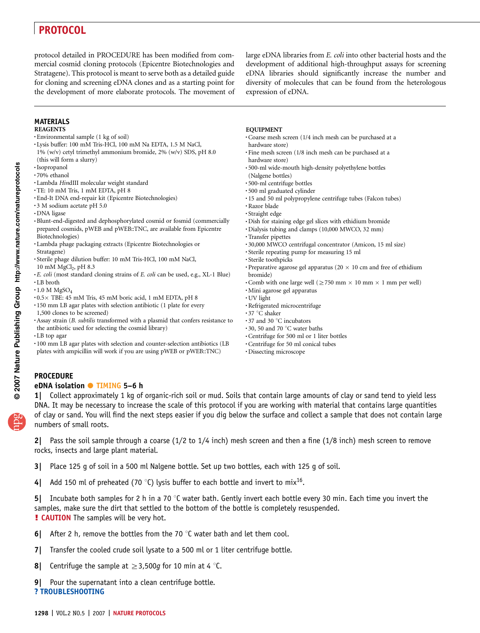protocol detailed in PROCEDURE has been modified from commercial cosmid cloning protocols (Epicentre Biotechnologies and Stratagene). This protocol is meant to serve both as a detailed guide for cloning and screening eDNA clones and as a starting point for the development of more elaborate protocols. The movement of large eDNA libraries from *E. coli* into other bacterial hosts and the development of additional high-throughput assays for screening eDNA libraries should significantly increase the number and diversity of molecules that can be found from the heterologous expression of eDNA.

### MATERIALS

- REAGENTS
- .Environmental sample (1 kg of soil)
- .Lysis buffer: 100 mM Tris-HCl, 100 mM Na EDTA, 1.5 M NaCl, 1% (w/v) cetyl trimethyl ammonium bromide, 2% (w/v) SDS, pH 8.0
- (this will form a slurry)
- .Isopropanol
- .70% ethanol
- $\cdot$ Lambda HindIII molecular weight standard  $\cdot$ TE: 10 mM Tris, 1 mM EDTA, pH 8
- 
- .End-It DNA end-repair kit (Epicentre Biotechnologies)
- .3 M sodium acetate pH 5.0
- .DNA ligase
- .Blunt-end-digested and dephosphorylated cosmid or fosmid (commercially prepared cosmids, pWEB and pWEB::TNC, are available from Epicentre Biotechnologies)
- .Lambda phage packaging extracts (Epicentre Biotechnologies or Stratagene)
- .Sterile phage dilution buffer: 10 mM Tris-HCl, 100 mM NaCl,
- 
- 10 mM MgCl<sub>2</sub>, pH 8.3<br>  $\cdot E.$  *coli* (most standard cloning strains of *E. coli* can be used, e.g., XL-1 Blue)  $\cdot$  LB broth
- 
- 
- .1.0 M MgSO<sub>4</sub><br>.0.5 X TBE: 45 mM Tris, 45 mM boric acid, 1 mM EDTA, pH 8<br>.150 mm LB agar plates with selection antibiotic (1 plate for every
- 
- 1,500 clones to be screened) .Assay strain (B. subtilis transformed with a plasmid that confers resistance to
- the antibiotic used for selecting the cosmid library)
- .LB top agar
- .100 mm LB agar plates with selection and counter-selection antibiotics (LB plates with ampicillin will work if you are using pWEB or pWEB::TNC)
- **EQUIPMENT**
- .Coarse mesh screen (1/4 inch mesh can be purchased at a hardware store)
- .Fine mesh screen (1/8 inch mesh can be purchased at a hardware store)
- .500-ml wide-mouth high-density polyethylene bottles (Nalgene bottles)
- .500-ml centrifuge bottles
- .500 ml graduated cylinder
- .15 and 50 ml polypropylene centrifuge tubes (Falcon tubes)
- .Razor blade
- .Straight edge
- .Dish for staining edge gel slices with ethidium bromide
- .Dialysis tubing and clamps (10,000 MWCO, 32 mm)
- .Transfer pipettes
- .30,000 MWCO centrifugal concentrator (Amicon, 15 ml size)
- .Sterile repeating pump for measuring 15 ml
- .Sterile toothpicks
- Preparative agarose gel apparatus (20  $\times$  10 cm and free of ethidium bromide)
- $\cdot$  Comb with one large well ( $\geq$  750 mm  $\times$  10 mm  $\times$  1 mm per well)  $\cdot$  Mini agarose gel apparatus
- 
- .UV light
- Refrigerated microcentrifuge 37  $^{\circ} \mathrm{C}$  shaker
- 
- 
- .37 and 30 °C incubators<br>.30, 50 and 70 °C water baths<br>.Centrifuge for 500 ml or 1 liter bottles
- .Centrifuge for 50 ml conical tubes
- .Dissecting microscope

### PROCEDURE

# eDNA isolation ● TIMING 5–6 h

1| Collect approximately 1 kg of organic-rich soil or mud. Soils that contain large amounts of clay or sand tend to yield less DNA. It may be necessary to increase the scale of this protocol if you are working with material that contains large quantities of clay or sand. You will find the next steps easier if you dig below the surface and collect a sample that does not contain large numbers of small roots.

2| Pass the soil sample through a coarse (1/2 to 1/4 inch) mesh screen and then a fine (1/8 inch) mesh screen to remove rocks, insects and large plant material.

3| Place 125 g of soil in a 500 ml Nalgene bottle. Set up two bottles, each with 125 g of soil.

4| Add 150 ml of preheated (70 °C) lysis buffer to each bottle and invert to mix<sup>16</sup>.

5| Incubate both samples for 2 h in a 70  $\degree$ C water bath. Gently invert each bottle every 30 min. Each time you invert the samples, make sure the dirt that settled to the bottom of the bottle is completely resuspended. **! CAUTION** The samples will be very hot.

- 6| After 2 h, remove the bottles from the 70  $\degree$ C water bath and let them cool.
- 7| Transfer the cooled crude soil lysate to a 500 ml or 1 liter centrifuge bottle.
- **8** Centrifuge the sample at  $\geq 3.500g$  for 10 min at 4 °C.
- 9 Pour the supernatant into a clean centrifuge bottle. ? TROUBLESHOOTING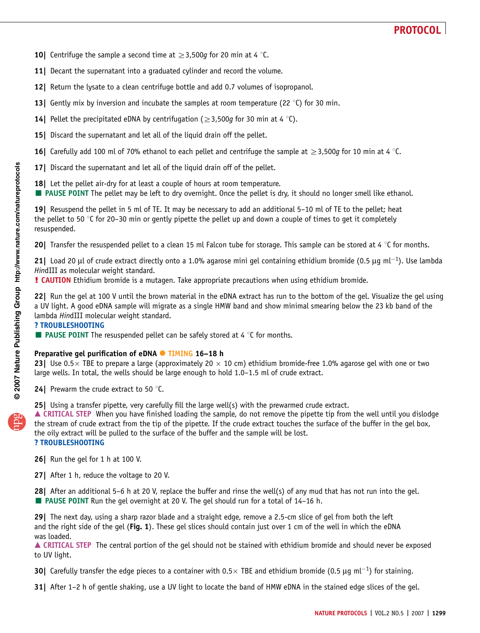- **10** Centrifuge the sample a second time at  $\geq 3,500q$  for 20 min at 4 °C.
- 11| Decant the supernatant into a graduated cylinder and record the volume.
- 12| Return the lysate to a clean centrifuge bottle and add 0.7 volumes of isopropanol.
- 13| Gently mix by inversion and incubate the samples at room temperature (22  $\degree$ C) for 30 min.
- **14** Pellet the precipitated eDNA by centrifugation ( $\geq$ 3,500g for 30 min at 4 °C).
- 15| Discard the supernatant and let all of the liquid drain off the pellet.
- 16| Carefully add 100 ml of 70% ethanol to each pellet and centrifuge the sample at  $\geq$ 3,500g for 10 min at 4 °C.
- 17| Discard the supernatant and let all of the liquid drain off of the pellet.
- 18| Let the pellet air-dry for at least a couple of hours at room temperature.
- **PAUSE POINT** The pellet may be left to dry overnight. Once the pellet is dry, it should no longer smell like ethanol.

19| Resuspend the pellet in 5 ml of TE. It may be necessary to add an additional 5–10 ml of TE to the pellet; heat the pellet to 50  $\degree$ C for 20–30 min or gently pipette the pellet up and down a couple of times to get it completely resuspended.

20 Transfer the resuspended pellet to a clean 15 ml Falcon tube for storage. This sample can be stored at 4  $\degree$ C for months.

21| Load 20 µl of crude extract directly onto a 1.0% agarose mini gel containing ethidium bromide (0.5 µg ml<sup>-1</sup>). Use lambda HindIII as molecular weight standard.

! CAUTION Ethidium bromide is a mutagen. Take appropriate precautions when using ethidium bromide.

22| Run the gel at 100 V until the brown material in the eDNA extract has run to the bottom of the gel. Visualize the gel using a UV light. A good eDNA sample will migrate as a single HMW band and show minimal smearing below the 23 kb band of the lambda HindIII molecular weight standard.

### ? TROUBLESHOOTING

 $\blacksquare$  **PAUSE POINT** The resuspended pellet can be safely stored at 4 °C for months.

# Preparative gel purification of eDNA <sup>•</sup> TIMING 16-18 h

23| Use 0.5  $\times$  TBE to prepare a large (approximately 20  $\times$  10 cm) ethidium bromide-free 1.0% agarose gel with one or two large wells. In total, the wells should be large enough to hold 1.0–1.5 ml of crude extract.

**24** Prewarm the crude extract to 50 $\degree$ C.

25| Using a transfer pipette, very carefully fill the large well(s) with the prewarmed crude extract.

▲ CRITICAL STEP When you have finished loading the sample, do not remove the pipette tip from the well until you dislodge the stream of crude extract from the tip of the pipette. If the crude extract touches the surface of the buffer in the gel box, the oily extract will be pulled to the surface of the buffer and the sample will be lost. ? TROUBLESHOOTING

- 26| Run the gel for 1 h at 100 V.
- 27 After 1 h, reduce the voltage to 20 V.

28| After an additional 5–6 h at 20 V, replace the buffer and rinse the well(s) of any mud that has not run into the gel. ■ PAUSE POINT Run the gel overnight at 20 V. The gel should run for a total of 14-16 h.

29| The next day, using a sharp razor blade and a straight edge, remove a 2.5-cm slice of gel from both the left and the right side of the gel (Fig. 1). These gel slices should contain just over 1 cm of the well in which the eDNA was loaded.

▲ CRITICAL STEP The central portion of the gel should not be stained with ethidium bromide and should never be exposed to UV light.

**30** Carefully transfer the edge pieces to a container with 0.5 TBE and ethidium bromide (0.5 µg ml<sup>-1</sup>) for staining.

31| After 1–2 h of gentle shaking, use a UV light to locate the band of HMW eDNA in the stained edge slices of the gel.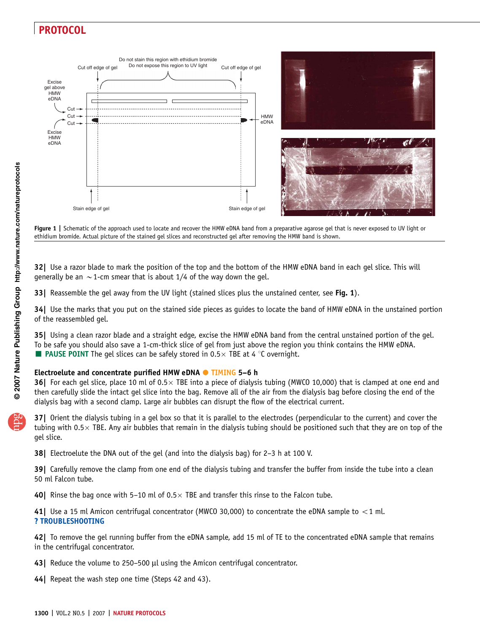

Figure 1 | Schematic of the approach used to locate and recover the HMW eDNA band from a preparative agarose gel that is never exposed to UV light or ethidium bromide. Actual picture of the stained gel slices and reconstructed gel after removing the HMW band is shown.

32| Use a razor blade to mark the position of the top and the bottom of the HMW eDNA band in each gel slice. This will generally be an  $\sim$  1-cm smear that is about 1/4 of the way down the gel.

33| Reassemble the gel away from the UV light (stained slices plus the unstained center, see Fig. 1).

34| Use the marks that you put on the stained side pieces as guides to locate the band of HMW eDNA in the unstained portion of the reassembled gel.

35| Using a clean razor blade and a straight edge, excise the HMW eDNA band from the central unstained portion of the gel. To be safe you should also save a 1-cm-thick slice of gel from just above the region you think contains the HMW eDNA. **PAUSE POINT** The gel slices can be safely stored in 0.5 $\times$  TBE at 4 °C overnight.

# Electroelute and concentrate purified HMW eDNA ● TIMING 5-6 h

**36** For each gel slice, place 10 ml of  $0.5 \times$  TBE into a piece of dialysis tubing (MWCO 10,000) that is clamped at one end and then carefully slide the intact gel slice into the bag. Remove all of the air from the dialysis bag before closing the end of the dialysis bag with a second clamp. Large air bubbles can disrupt the flow of the electrical current.

37| Orient the dialysis tubing in a gel box so that it is parallel to the electrodes (perpendicular to the current) and cover the tubing with 0.5 $\times$  TBE. Any air bubbles that remain in the dialysis tubing should be positioned such that they are on top of the gel slice.

38| Electroelute the DNA out of the gel (and into the dialysis bag) for 2–3 h at 100 V.

39| Carefully remove the clamp from one end of the dialysis tubing and transfer the buffer from inside the tube into a clean 50 ml Falcon tube.

**40** Rinse the bag once with 5-10 ml of  $0.5 \times$  TBE and transfer this rinse to the Falcon tube.

41| Use a 15 ml Amicon centrifugal concentrator (MWCO 30,000) to concentrate the eDNA sample to  $<$  1 ml. ? TROUBLESHOOTING

42| To remove the gel running buffer from the eDNA sample, add 15 ml of TE to the concentrated eDNA sample that remains in the centrifugal concentrator.

- 43| Reduce the volume to 250-500 µl using the Amicon centrifugal concentrator.
- 44 Repeat the wash step one time (Steps 42 and 43).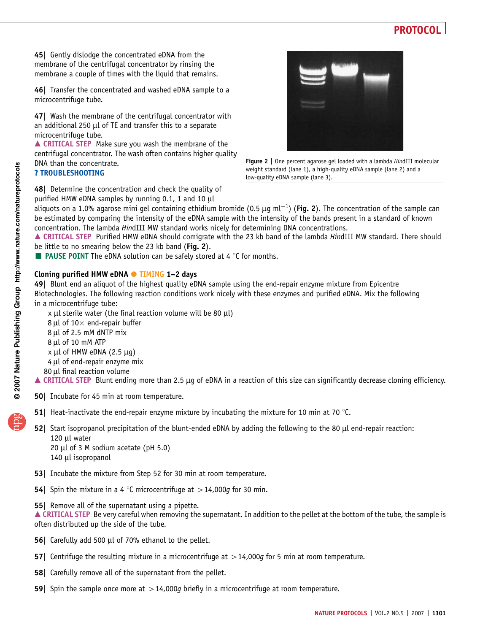45| Gently dislodge the concentrated eDNA from the membrane of the centrifugal concentrator by rinsing the membrane a couple of times with the liquid that remains.

46| Transfer the concentrated and washed eDNA sample to a microcentrifuge tube.

47| Wash the membrane of the centrifugal concentrator with an additional 250  $\mu$ l of TE and transfer this to a separate microcentrifuge tube.

▲ CRITICAL STEP Make sure you wash the membrane of the centrifugal concentrator. The wash often contains higher quality DNA than the concentrate.

### ? TROUBLESHOOTING



Figure 2 | One percent agarose gel loaded with a lambda HindIII molecular weight standard (lane 1), a high-quality eDNA sample (lane 2) and a low-quality eDNA sample (lane 3).

48 Determine the concentration and check the quality of purified HMW eDNA samples by running 0.1, 1 and 10  $\mu$ l

aliquots on a 1.0% agarose mini gel containing ethidium bromide (0.5 µg ml<sup>-1</sup>) (Fig. 2). The concentration of the sample can be estimated by comparing the intensity of the eDNA sample with the intensity of the bands present in a standard of known concentration. The lambda HindIII MW standard works nicely for determining DNA concentrations.

▲ CRITICAL STEP Purified HMW eDNA should comigrate with the 23 kb band of the lambda HindIII MW standard. There should be little to no smearing below the 23 kb band (Fig. 2).

**PAUSE POINT** The eDNA solution can be safely stored at 4  $\degree$ C for months.

# Cloning purified HMW eDNA ● TIMING 1-2 days

49| Blunt end an aliquot of the highest quality eDNA sample using the end-repair enzyme mixture from Epicentre Biotechnologies. The following reaction conditions work nicely with these enzymes and purified eDNA. Mix the following in a microcentrifuge tube:

 $x$  µl sterile water (the final reaction volume will be 80 µl) 8 µl of  $10\times$  end-repair buffer 8 µl of 2.5 mM dNTP mix 8 µl of 10 mM ATP  $x \mu l$  of HMW eDNA (2.5  $\mu$ g)  $4 \mu l$  of end-repair enzyme mix 80 µl final reaction volume

■ CRITICAL STEP Blunt ending more than 2.5 µg of eDNA in a reaction of this size can significantly decrease cloning efficiency.

- 50| Incubate for 45 min at room temperature.
- 51| Heat-inactivate the end-repair enzyme mixture by incubating the mixture for 10 min at 70  $\degree$ C.
- 52] Start isopropanol precipitation of the blunt-ended eDNA by adding the following to the 80  $\mu$ l end-repair reaction:  $120$  µl water 20 µl of 3 M sodium acetate (pH  $5.0$ ) 140 µl isopropanol
- 53| Incubate the mixture from Step 52 for 30 min at room temperature.
- **54** Spin the mixture in a 4 °C microcentrifuge at  $>$  14,000g for 30 min.
- 55| Remove all of the supernatant using a pipette.

▲ CRITICAL STEP Be very careful when removing the supernatant. In addition to the pellet at the bottom of the tube, the sample is often distributed up the side of the tube.

- 56| Carefully add 500 µl of 70% ethanol to the pellet.
- **57** Centrifuge the resulting mixture in a microcentrifuge at  $>$  14,000g for 5 min at room temperature.
- **58** Carefully remove all of the supernatant from the pellet.
- **59** Spin the sample once more at  $>14,000q$  briefly in a microcentrifuge at room temperature.

**w w//: ptt h**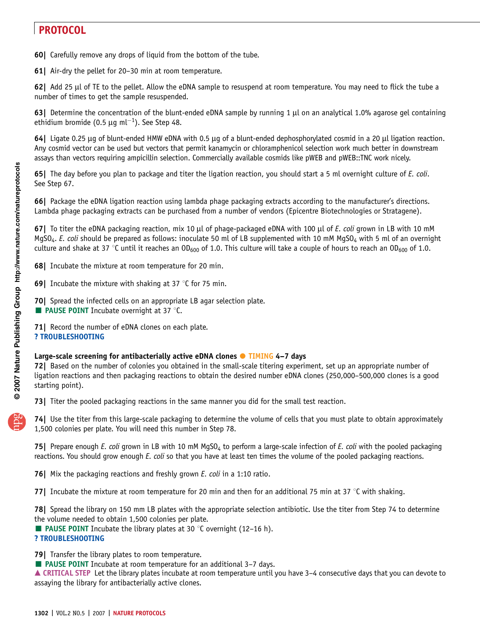60| Carefully remove any drops of liquid from the bottom of the tube.

61| Air-dry the pellet for 20–30 min at room temperature.

62| Add 25 µl of TE to the pellet. Allow the eDNA sample to resuspend at room temperature. You may need to flick the tube a number of times to get the sample resuspended.

63 Determine the concentration of the blunt-ended eDNA sample by running 1  $\mu$ l on an analytical 1.0% agarose gel containing ethidium bromide (0.5  $\mu$ g ml<sup>-1</sup>). See Step 48.

64| Ligate 0.25 µg of blunt-ended HMW eDNA with 0.5 µg of a blunt-ended dephosphorylated cosmid in a 20 µl ligation reaction. Any cosmid vector can be used but vectors that permit kanamycin or chloramphenicol selection work much better in downstream assays than vectors requiring ampicillin selection. Commercially available cosmids like pWEB and pWEB::TNC work nicely.

65| The day before you plan to package and titer the ligation reaction, you should start a 5 ml overnight culture of E. coli. See Step 67.

66| Package the eDNA ligation reaction using lambda phage packaging extracts according to the manufacturer's directions. Lambda phage packaging extracts can be purchased from a number of vendors (Epicentre Biotechnologies or Stratagene).

67 To titer the eDNA packaging reaction, mix 10  $\mu$ l of phage-packaged eDNA with 100  $\mu$ l of E. coli grown in LB with 10 mM MgSO<sub>4</sub>. E. coli should be prepared as follows: inoculate 50 ml of LB supplemented with 10 mM MgSO<sub>4</sub> with 5 ml of an overnight culture and shake at 37 °C until it reaches an OD<sub>600</sub> of 1.0. This culture will take a couple of hours to reach an OD<sub>600</sub> of 1.0.

68| Incubate the mixture at room temperature for 20 min.

**69** Incubate the mixture with shaking at 37 °C for 75 min.

70| Spread the infected cells on an appropriate LB agar selection plate.

**PAUSE POINT** Incubate overnight at 37  $\degree$ C.

71| Record the number of eDNA clones on each plate. ? TROUBLESHOOTING

# Large-scale screening for antibacterially active eDNA clones  $\bullet$  TIMING 4-7 days

72| Based on the number of colonies you obtained in the small-scale titering experiment, set up an appropriate number of ligation reactions and then packaging reactions to obtain the desired number eDNA clones (250,000–500,000 clones is a good starting point).

73 Titer the pooled packaging reactions in the same manner you did for the small test reaction.

74| Use the titer from this large-scale packaging to determine the volume of cells that you must plate to obtain approximately 1,500 colonies per plate. You will need this number in Step 78.

**75** Prepare enough E. coli grown in LB with 10 mM MgSO<sub>4</sub> to perform a large-scale infection of E. coli with the pooled packaging reactions. You should grow enough E. coli so that you have at least ten times the volume of the pooled packaging reactions.

76| Mix the packaging reactions and freshly grown E. coli in a 1:10 ratio.

77] Incubate the mixture at room temperature for 20 min and then for an additional 75 min at 37  $\degree$ C with shaking.

78| Spread the library on 150 mm LB plates with the appropriate selection antibiotic. Use the titer from Step 74 to determine the volume needed to obtain 1,500 colonies per plate.

 $\blacksquare$  **PAUSE POINT** Incubate the library plates at 30 °C overnight (12–16 h).

### ? TROUBLESHOOTING

79| Transfer the library plates to room temperature.

■ PAUSE POINT Incubate at room temperature for an additional 3-7 days.

■ CRITICAL STEP Let the library plates incubate at room temperature until you have 3–4 consecutive days that you can devote to assaying the library for antibacterially active clones.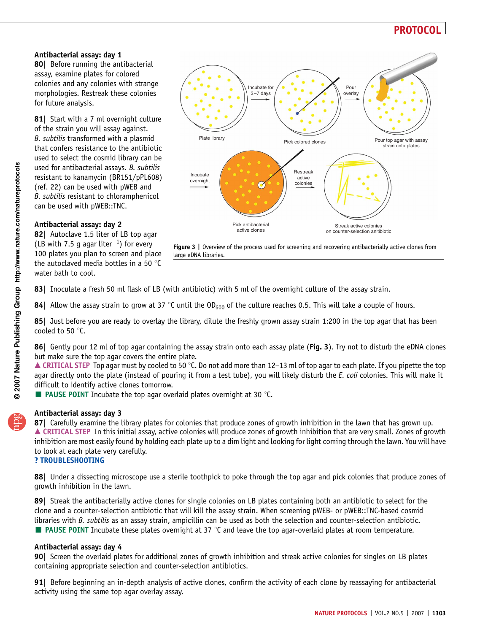### Antibacterial assay: day 1

80| Before running the antibacterial assay, examine plates for colored colonies and any colonies with strange morphologies. Restreak these colonies for future analysis.

81| Start with a 7 ml overnight culture of the strain you will assay against. B. subtilis transformed with a plasmid that confers resistance to the antibiotic used to select the cosmid library can be used for antibacterial assays. B. subtilis resistant to kanamycin (BR151/pPL608) (ref. 22) can be used with pWEB and B. subtilis resistant to chloramphenicol can be used with pWEB::TNC.

### Antibacterial assay: day 2

82| Autoclave 1.5 liter of LB top agar (LB with 7.5 g agar liter<sup>-1</sup>) for every 100 plates you plan to screen and place the autoclaved media bottles in a 50 $\degree$ C water bath to cool.



Figure 3 | Overview of the process used for screening and recovering antibacterially active clones from large eDNA libraries.

83] Inoculate a fresh 50 ml flask of LB (with antibiotic) with 5 ml of the overnight culture of the assay strain.

84| Allow the assay strain to grow at 37 °C until the  $OD_{600}$  of the culture reaches 0.5. This will take a couple of hours.

85| Just before you are ready to overlay the library, dilute the freshly grown assay strain 1:200 in the top agar that has been cooled to 50 $\degree$ C.

86| Gently pour 12 ml of top agar containing the assay strain onto each assay plate (Fig. 3). Try not to disturb the eDNA clones but make sure the top agar covers the entire plate.

 $\triangle$  CRITICAL STEP Top agar must by cooled to 50 °C. Do not add more than 12–13 ml of top agar to each plate. If you pipette the top agar directly onto the plate (instead of pouring it from a test tube), you will likely disturb the E. coli colonies. This will make it difficult to identify active clones tomorrow.

**PAUSE POINT** Incubate the top agar overlaid plates overnight at 30  $\degree$ C.

### Antibacterial assay: day 3

87] Carefully examine the library plates for colonies that produce zones of growth inhibition in the lawn that has grown up. ▲ CRITICAL STEP In this initial assay, active colonies will produce zones of growth inhibition that are very small. Zones of growth inhibition are most easily found by holding each plate up to a dim light and looking for light coming through the lawn. You will have to look at each plate very carefully.

#### ? TROUBLESHOOTING

88| Under a dissecting microscope use a sterile toothpick to poke through the top agar and pick colonies that produce zones of growth inhibition in the lawn.

89| Streak the antibacterially active clones for single colonies on LB plates containing both an antibiotic to select for the clone and a counter-selection antibiotic that will kill the assay strain. When screening pWEB- or pWEB::TNC-based cosmid libraries with B. subtilis as an assay strain, ampicillin can be used as both the selection and counter-selection antibiotic.  $\blacksquare$  **PAUSE POINT** Incubate these plates overnight at 37 °C and leave the top agar-overlaid plates at room temperature.

#### Antibacterial assay: day 4

90| Screen the overlaid plates for additional zones of growth inhibition and streak active colonies for singles on LB plates containing appropriate selection and counter-selection antibiotics.

91| Before beginning an in-depth analysis of active clones, confirm the activity of each clone by reassaying for antibacterial activity using the same top agar overlay assay.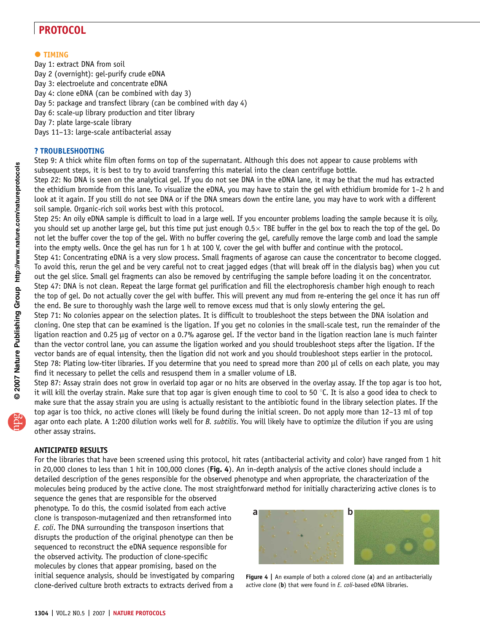# $\bullet$  TIMING

Day 1: extract DNA from soil Day 2 (overnight): gel-purify crude eDNA Day 3: electroelute and concentrate eDNA Day 4: clone eDNA (can be combined with day 3) Day 5: package and transfect library (can be combined with day 4) Day 6: scale-up library production and titer library Day 7: plate large-scale library Days 11–13: large-scale antibacterial assay

### ? TROUBLESHOOTING

Step 9: A thick white film often forms on top of the supernatant. Although this does not appear to cause problems with subsequent steps, it is best to try to avoid transferring this material into the clean centrifuge bottle.

Step 22: No DNA is seen on the analytical gel. If you do not see DNA in the eDNA lane, it may be that the mud has extracted the ethidium bromide from this lane. To visualize the eDNA, you may have to stain the gel with ethidium bromide for 1–2 h and look at it again. If you still do not see DNA or if the DNA smears down the entire lane, you may have to work with a different soil sample. Organic-rich soil works best with this protocol.

Step 25: An oily eDNA sample is difficult to load in a large well. If you encounter problems loading the sample because it is oily, you should set up another large gel, but this time put just enough  $0.5 \times$  TBE buffer in the gel box to reach the top of the gel. Do not let the buffer cover the top of the gel. With no buffer covering the gel, carefully remove the large comb and load the sample into the empty wells. Once the gel has run for 1 h at 100 V, cover the gel with buffer and continue with the protocol. Step 41: Concentrating eDNA is a very slow process. Small fragments of agarose can cause the concentrator to become clogged. To avoid this, rerun the gel and be very careful not to creat jagged edges (that will break off in the dialysis bag) when you cut out the gel slice. Small gel fragments can also be removed by centrifuging the sample before loading it on the concentrator. Step 47: DNA is not clean. Repeat the large format gel purification and fill the electrophoresis chamber high enough to reach the top of gel. Do not actually cover the gel with buffer. This will prevent any mud from re-entering the gel once it has run off the end. Be sure to thoroughly wash the large well to remove excess mud that is only slowly entering the gel.

Step 71: No colonies appear on the selection plates. It is difficult to troubleshoot the steps between the DNA isolation and cloning. One step that can be examined is the ligation. If you get no colonies in the small-scale test, run the remainder of the ligation reaction and  $0.25 \mu$ g of vector on a 0.7% agarose gel. If the vector band in the ligation reaction lane is much fainter than the vector control lane, you can assume the ligation worked and you should troubleshoot steps after the ligation. If the vector bands are of equal intensity, then the ligation did not work and you should troubleshoot steps earlier in the protocol. Step 78: Plating low-titer libraries. If you determine that you need to spread more than 200 µl of cells on each plate, you may find it necessary to pellet the cells and resuspend them in a smaller volume of LB.

Step 87: Assay strain does not grow in overlaid top agar or no hits are observed in the overlay assay. If the top agar is too hot, it will kill the overlay strain. Make sure that top agar is given enough time to cool to 50 °C. It is also a good idea to check to make sure that the assay strain you are using is actually resistant to the antibiotic found in the library selection plates. If the top agar is too thick, no active clones will likely be found during the initial screen. Do not apply more than 12–13 ml of top agar onto each plate. A 1:200 dilution works well for B. subtilis. You will likely have to optimize the dilution if you are using other assay strains.

#### ANTICIPATED RESULTS

For the libraries that have been screened using this protocol, hit rates (antibacterial activity and color) have ranged from 1 hit in 20,000 clones to less than 1 hit in 100,000 clones (Fig. 4). An in-depth analysis of the active clones should include a detailed description of the genes responsible for the observed phenotype and when appropriate, the characterization of the molecules being produced by the active clone. The most straightforward method for initially characterizing active clones is to

sequence the genes that are responsible for the observed phenotype. To do this, the cosmid isolated from each active clone is transposon-mutagenized and then retransformed into E. coli. The DNA surrounding the transposon insertions that disrupts the production of the original phenotype can then be sequenced to reconstruct the eDNA sequence responsible for the observed activity. The production of clone-specific molecules by clones that appear promising, based on the initial sequence analysis, should be investigated by comparing clone-derived culture broth extracts to extracts derived from a



Figure 4 | An example of both a colored clone (a) and an antibacterially active clone  $(b)$  that were found in  $E$ . coli-based eDNA libraries.